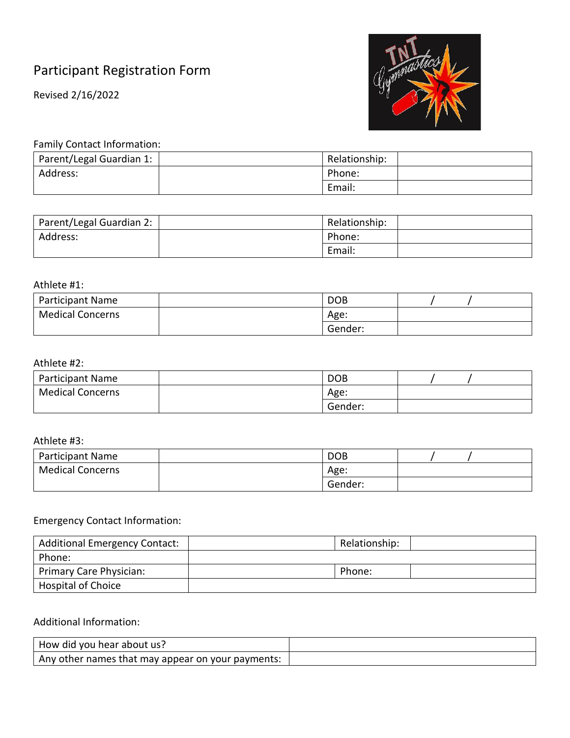# Participant Registration Form

Revised 2/16/2022



Family Contact Information:

| Parent/Legal Guardian 1: | Relationship: |  |
|--------------------------|---------------|--|
| Address:                 | Phone:        |  |
|                          | Email:        |  |

| Parent/Legal Guardian 2: | Relationship: |  |
|--------------------------|---------------|--|
| Address:                 | Phone:        |  |
|                          | Email:        |  |

#### Athlete #1:

| <b>Participant Name</b> | <b>DOB</b> |  |
|-------------------------|------------|--|
| <b>Medical Concerns</b> | Age:       |  |
|                         | Gender:    |  |

### Athlete #2:

| Participant Name        | <b>DOB</b> |  |  |
|-------------------------|------------|--|--|
| <b>Medical Concerns</b> | Age:       |  |  |
|                         | Gender:    |  |  |

#### Athlete #3:

| Participant Name        | <b>DOB</b> |  |
|-------------------------|------------|--|
| <b>Medical Concerns</b> | Age:       |  |
|                         | Gender:    |  |

# Emergency Contact Information:

| <b>Additional Emergency Contact:</b> | Relationship: |
|--------------------------------------|---------------|
| Phone:                               |               |
| Primary Care Physician:              | Phone:        |
| <b>Hospital of Choice</b>            |               |

## Additional Information:

| How did you hear about us?                        |  |
|---------------------------------------------------|--|
| Any other names that may appear on your payments: |  |